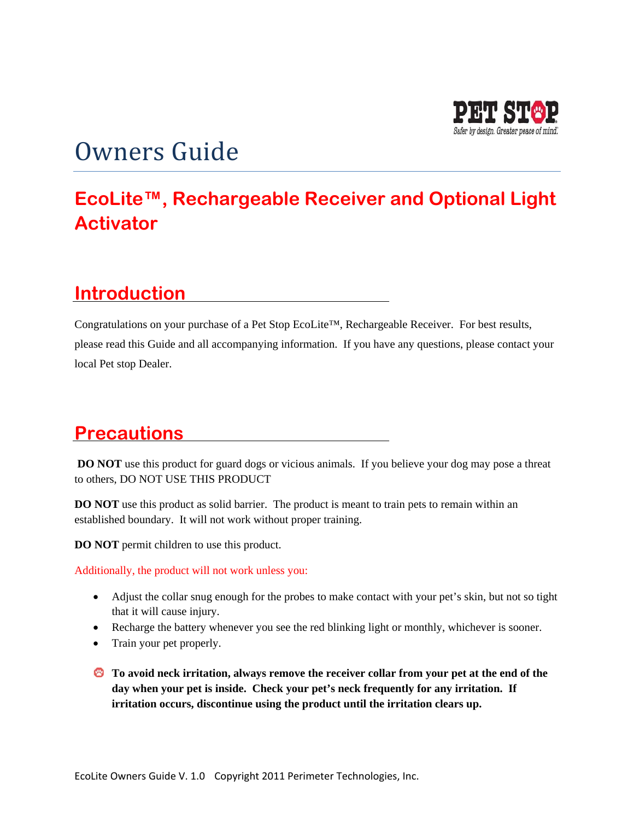

# Owners Guide

## **EcoLite™, Rechargeable Receiver and Optional Light Activator**

### **Introduction**

Congratulations on your purchase of a Pet Stop EcoLite™, Rechargeable Receiver. For best results, please read this Guide and all accompanying information. If you have any questions, please contact your local Pet stop Dealer.

#### **Precautions**

**DO NOT** use this product for guard dogs or vicious animals. If you believe your dog may pose a threat to others, DO NOT USE THIS PRODUCT

**DO NOT** use this product as solid barrier. The product is meant to train pets to remain within an established boundary. It will not work without proper training.

**DO NOT** permit children to use this product.

Additionally, the product will not work unless you:

- Adjust the collar snug enough for the probes to make contact with your pet's skin, but not so tight that it will cause injury.
- Recharge the battery whenever you see the red blinking light or monthly, whichever is sooner.
- Train your pet properly.
- **To avoid neck irritation, always remove the receiver collar from your pet at the end of the day when your pet is inside. Check your pet's neck frequently for any irritation. If irritation occurs, discontinue using the product until the irritation clears up.**